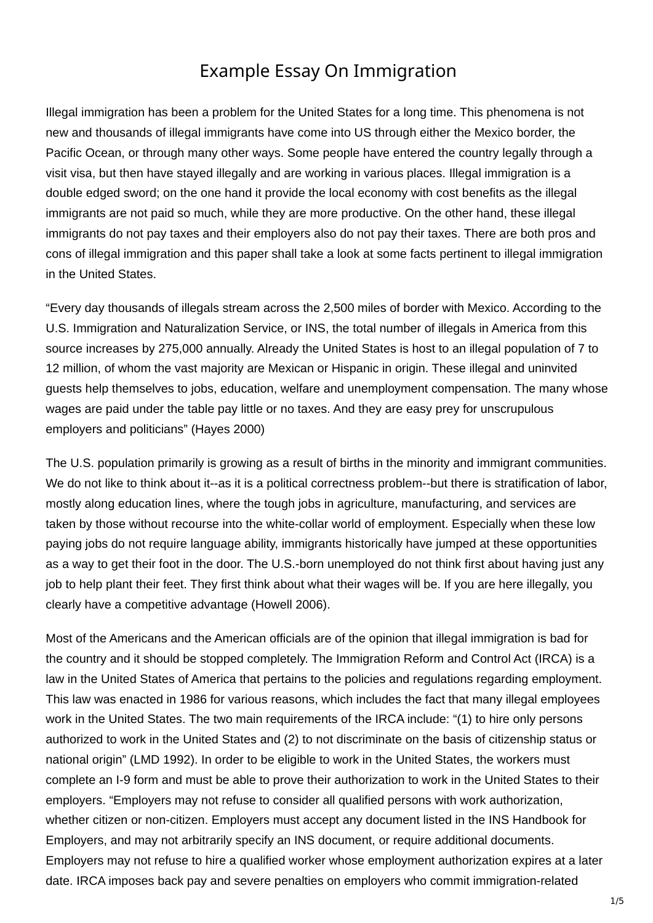## **Argumentative essay on immigration** Example Essay On Immigration

Illegal immigration has been a problem for the United States for a long time. This phenomena is not new and thousands of illegal immigrants have come into US through either the Mexico border, the Pacific Ocean, or through many other ways. Some people have entered the country legally through a visit visa, but then have stayed illegally and are working in various places. Illegal immigration is a double edged sword; on the one hand it provide the local economy with cost benefits as the illegal immigrants are not paid so much, while they are more productive. On the other hand, these illegal immigrants do not pay taxes and their employers also do not pay their taxes. There are both pros and cons of illegal immigration and this paper shall take a look at some facts pertinent to illegal immigration in the United States.

"Every day thousands of illegals stream across the 2,500 miles of border with Mexico. According to the U.S. Immigration and Naturalization Service, or INS, the total number of illegals in America from this source increases by 275,000 annually. Already the United States is host to an illegal population of 7 to 12 million, of whom the vast majority are Mexican or Hispanic in origin. These illegal and uninvited guests help themselves to jobs, education, welfare and unemployment compensation. The many whose wages are paid under the table pay little or no taxes. And they are easy prey for unscrupulous employers and politicians" (Hayes 2000)

The U.S. population primarily is growing as a result of births in the minority and immigrant communities. We do not like to think about it--as it is a political correctness problem--but there is stratification of labor, mostly along education lines, where the tough jobs in agriculture, manufacturing, and services are taken by those without recourse into the white-collar world of employment. Especially when these low paying jobs do not require language ability, immigrants historically have jumped at these opportunities as a way to get their foot in the door. The U.S.-born unemployed do not think first about having just any job to help plant their feet. They first think about what their wages will be. If you are here illegally, you clearly have a competitive advantage (Howell 2006).

Most of the Americans and the American officials are of the opinion that illegal immigration is bad for the country and it should be stopped completely. The Immigration Reform and Control Act (IRCA) is a law in the United States of America that pertains to the policies and regulations regarding employment. This law was enacted in 1986 for various reasons, which includes the fact that many illegal employees work in the United States. The two main requirements of the IRCA include: "(1) to hire only persons authorized to work in the United States and (2) to not discriminate on the basis of citizenship status or national origin" (LMD 1992). In order to be eligible to work in the United States, the workers must complete an I-9 form and must be able to prove their authorization to work in the United States to their employers. "Employers may not refuse to consider all qualified persons with work authorization, whether citizen or non-citizen. Employers must accept any document listed in the INS Handbook for Employers, and may not arbitrarily specify an INS document, or require additional documents. Employers may not refuse to hire a qualified worker whose employment authorization expires at a later date. IRCA imposes back pay and severe penalties on employers who commit immigration-related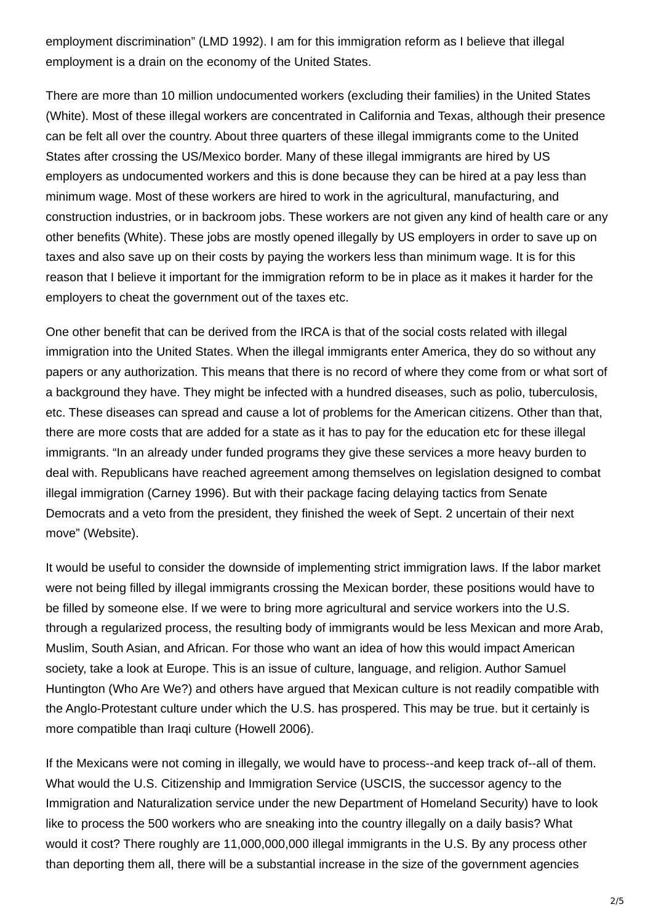employment discrimination" (LMD 1992). I am for this immigration reform as I believe that illegal employment is a drain on the economy of the United States.

There are more than 10 million undocumented workers (excluding their families) in the United States (White). Most of these illegal workers are concentrated in California and Texas, although their presence can be felt all over the country. About three quarters of these illegal immigrants come to the United States after crossing the US/Mexico border. Many of these illegal immigrants are hired by US employers as undocumented workers and this is done because they can be hired at a pay less than minimum wage. Most of these workers are hired to work in the agricultural, manufacturing, and construction industries, or in backroom jobs. These workers are not given any kind of health care or any other benefits (White). These jobs are mostly opened illegally by US employers in order to save up on taxes and also save up on their costs by paying the workers less than minimum wage. It is for this reason that I believe it important for the immigration reform to be in place as it makes it harder for the employers to cheat the government out of the taxes etc.

One other benefit that can be derived from the IRCA is that of the social costs related with illegal immigration into the United States. When the illegal immigrants enter America, they do so without any papers or any authorization. This means that there is no record of where they come from or what sort of a background they have. They might be infected with a hundred diseases, such as polio, tuberculosis, etc. These diseases can spread and cause a lot of problems for the American citizens. Other than that, there are more costs that are added for a state as it has to pay for the education etc for these illegal immigrants. "In an already under funded programs they give these services a more heavy burden to deal with. Republicans have reached agreement among themselves on legislation designed to combat illegal immigration (Carney 1996). But with their package facing delaying tactics from Senate Democrats and a veto from the president, they finished the week of Sept. 2 uncertain of their next move" (Website).

It would be useful to consider the downside of implementing strict immigration laws. If the labor market were not being filled by illegal immigrants crossing the Mexican border, these positions would have to be filled by someone else. If we were to bring more agricultural and service workers into the U.S. through a regularized process, the resulting body of immigrants would be less Mexican and more Arab, Muslim, South Asian, and African. For those who want an idea of how this would impact American society, take a look at Europe. This is an issue of culture, language, and religion. Author Samuel Huntington (Who Are We?) and others have argued that Mexican culture is not readily compatible with the Anglo-Protestant culture under which the U.S. has prospered. This may be true. but it certainly is more compatible than Iraqi culture (Howell 2006).

If the Mexicans were not coming in illegally, we would have to process--and keep track of--all of them. What would the U.S. Citizenship and Immigration Service (USCIS, the successor agency to the Immigration and Naturalization service under the new Department of Homeland Security) have to look like to process the 500 workers who are sneaking into the country illegally on a daily basis? What would it cost? There roughly are 11,000,000,000 illegal immigrants in the U.S. By any process other than deporting them all, there will be a substantial increase in the size of the government agencies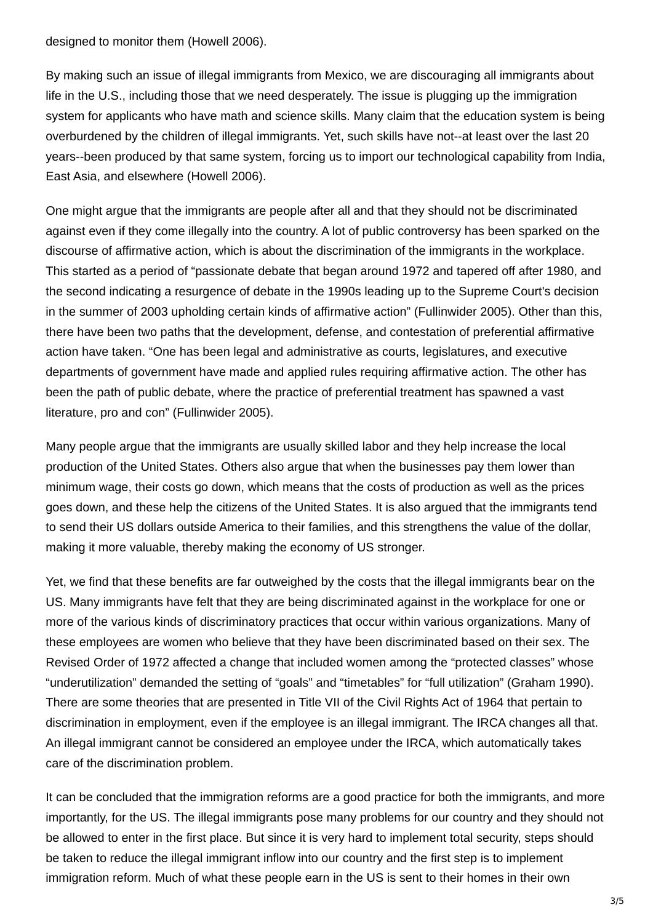designed to monitor them (Howell 2006).

By making such an issue of illegal immigrants from Mexico, we are discouraging all immigrants about life in the U.S., including those that we need desperately. The issue is plugging up the immigration system for applicants who have math and science skills. Many claim that the education system is being overburdened by the children of illegal immigrants. Yet, such skills have not--at least over the last 20 years--been produced by that same system, forcing us to import our technological capability from India, East Asia, and elsewhere (Howell 2006).

One might argue that the immigrants are people after all and that they should not be discriminated against even if they come illegally into the country. A lot of public controversy has been sparked on the discourse of affirmative action, which is about the discrimination of the immigrants in the workplace. This started as a period of "passionate debate that began around 1972 and tapered off after 1980, and the second indicating a resurgence of debate in the 1990s leading up to the Supreme Court's decision in the summer of 2003 upholding certain kinds of affirmative action" (Fullinwider 2005). Other than this, there have been two paths that the development, defense, and contestation of preferential affirmative action have taken. "One has been legal and administrative as courts, legislatures, and executive departments of government have made and applied rules requiring affirmative action. The other has been the path of public debate, where the practice of preferential treatment has spawned a vast literature, pro and con" (Fullinwider 2005).

Many people argue that the immigrants are usually skilled labor and they help increase the local production of the United States. Others also argue that when the businesses pay them lower than minimum wage, their costs go down, which means that the costs of production as well as the prices goes down, and these help the citizens of the United States. It is also argued that the immigrants tend to send their US dollars outside America to their families, and this strengthens the value of the dollar, making it more valuable, thereby making the economy of US stronger.

Yet, we find that these benefits are far outweighed by the costs that the illegal immigrants bear on the US. Many immigrants have felt that they are being discriminated against in the workplace for one or more of the various kinds of discriminatory practices that occur within various organizations. Many of these employees are women who believe that they have been discriminated based on their sex. The Revised Order of 1972 affected a change that included women among the "protected classes" whose "underutilization" demanded the setting of "goals" and "timetables" for "full utilization" (Graham 1990). There are some theories that are presented in Title VII of the Civil Rights Act of 1964 that pertain to discrimination in employment, even if the employee is an illegal immigrant. The IRCA changes all that. An illegal immigrant cannot be considered an employee under the IRCA, which automatically takes care of the discrimination problem.

It can be concluded that the immigration reforms are a good practice for both the immigrants, and more importantly, for the US. The illegal immigrants pose many problems for our country and they should not be allowed to enter in the first place. But since it is very hard to implement total security, steps should be taken to reduce the illegal immigrant inflow into our country and the first step is to implement immigration reform. Much of what these people earn in the US is sent to their homes in their own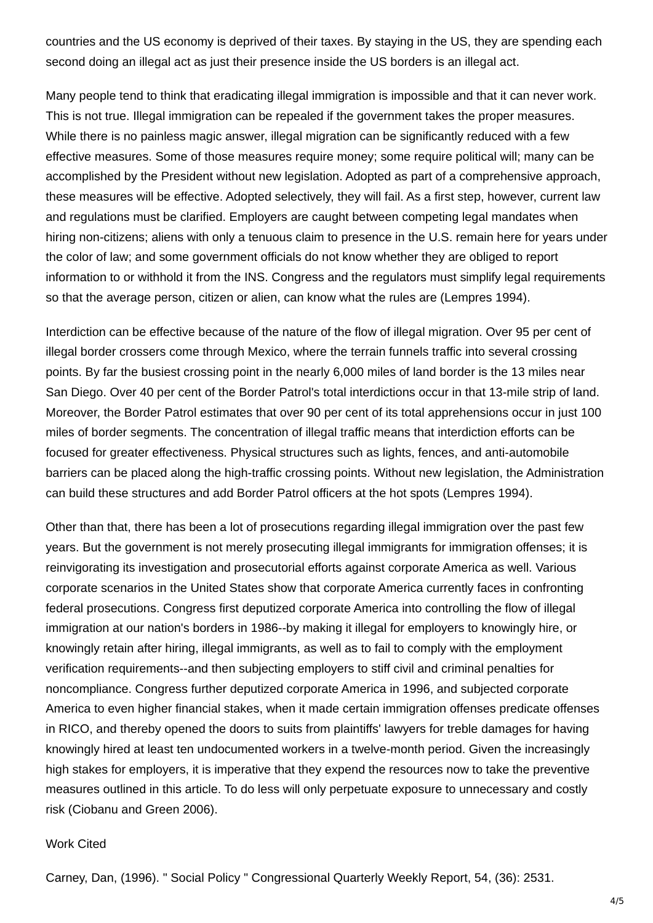countries and the US economy is deprived of their taxes. By staying in the US, they are spending each second doing an illegal act as just their presence inside the US borders is an illegal act.

Many people tend to think that eradicating illegal immigration is impossible and that it can never work. This is not true. Illegal immigration can be repealed if the government takes the proper measures. While there is no painless magic answer, illegal migration can be significantly reduced with a few effective measures. Some of those measures require money; some require political will; many can be accomplished by the President without new legislation. Adopted as part of a comprehensive approach, these measures will be effective. Adopted selectively, they will fail. As a first step, however, current law and regulations must be clarified. Employers are caught between competing legal mandates when hiring non-citizens; aliens with only a tenuous claim to presence in the U.S. remain here for years under the color of law; and some government officials do not know whether they are obliged to report information to or withhold it from the INS. Congress and the regulators must simplify legal requirements so that the average person, citizen or alien, can know what the rules are (Lempres 1994).

Interdiction can be effective because of the nature of the flow of illegal migration. Over 95 per cent of illegal border crossers come through Mexico, where the terrain funnels traffic into several crossing points. By far the busiest crossing point in the nearly 6,000 miles of land border is the 13 miles near San Diego. Over 40 per cent of the Border Patrol's total interdictions occur in that 13-mile strip of land. Moreover, the Border Patrol estimates that over 90 per cent of its total apprehensions occur in just 100 miles of border segments. The concentration of illegal traffic means that interdiction efforts can be focused for greater effectiveness. Physical structures such as lights, fences, and anti-automobile barriers can be placed along the high-traffic crossing points. Without new legislation, the Administration can build these structures and add Border Patrol officers at the hot spots (Lempres 1994).

Other than that, there has been a lot of prosecutions regarding illegal immigration over the past few years. But the government is not merely prosecuting illegal immigrants for immigration offenses; it is reinvigorating its investigation and prosecutorial efforts against corporate America as well. Various corporate scenarios in the United States show that corporate America currently faces in confronting federal prosecutions. Congress first deputized corporate America into controlling the flow of illegal immigration at our nation's borders in 1986--by making it illegal for employers to knowingly hire, or knowingly retain after hiring, illegal immigrants, as well as to fail to comply with the employment verification requirements--and then subjecting employers to stiff civil and criminal penalties for noncompliance. Congress further deputized corporate America in 1996, and subjected corporate America to even higher financial stakes, when it made certain immigration offenses predicate offenses in RICO, and thereby opened the doors to suits from plaintiffs' lawyers for treble damages for having knowingly hired at least ten undocumented workers in a twelve-month period. Given the increasingly high stakes for employers, it is imperative that they expend the resources now to take the preventive measures outlined in this article. To do less will only perpetuate exposure to unnecessary and costly risk (Ciobanu and Green 2006).

## Work Cited